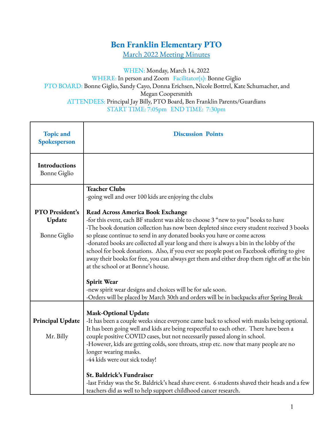## **Ben Franklin Elementary PTO**

March 2022 Meeting Minutes

## WHEN: Monday, March 14, 2022 WHERE: In person and Zoom Facilitator(s): Bonne Giglio PTO BOARD: Bonne Giglio, Sandy Cayo, Donna Erichsen, Nicole Bottrel, Kate Schumacher, and Megan Coopersmith ATTENDEES: Principal Jay Billy, PTO Board, Ben Franklin Parents/Guardians START TIME: 7:05pm END TIME: 7:30pm

| <b>Topic and</b><br>Spokesperson                 | <b>Discussion Points</b>                                                                                                                                                                                                                                                                                                                                                                                                                                                                                                                                                                                                           |  |  |  |  |
|--------------------------------------------------|------------------------------------------------------------------------------------------------------------------------------------------------------------------------------------------------------------------------------------------------------------------------------------------------------------------------------------------------------------------------------------------------------------------------------------------------------------------------------------------------------------------------------------------------------------------------------------------------------------------------------------|--|--|--|--|
| <b>Introductions</b><br><b>Bonne Giglio</b>      |                                                                                                                                                                                                                                                                                                                                                                                                                                                                                                                                                                                                                                    |  |  |  |  |
|                                                  | <b>Teacher Clubs</b><br>-going well and over 100 kids are enjoying the clubs                                                                                                                                                                                                                                                                                                                                                                                                                                                                                                                                                       |  |  |  |  |
| PTO President's<br>Update<br><b>Bonne Giglio</b> | <b>Read Across America Book Exchange</b><br>-for this event, each BF student was able to choose 3 "new to you" books to have<br>-The book donation collection has now been depleted since every student received 3 books<br>so please continue to send in any donated books you have or come across<br>-donated books are collected all year long and there is always a bin in the lobby of the<br>school for book donations. Also, if you ever see people post on Facebook offering to give<br>away their books for free, you can always get them and either drop them right off at the bin<br>at the school or at Bonne's house. |  |  |  |  |
|                                                  | Spirit Wear<br>-new spirit wear designs and choices will be for sale soon.<br>-Orders will be placed by March 30th and orders will be in backpacks after Spring Break                                                                                                                                                                                                                                                                                                                                                                                                                                                              |  |  |  |  |
| <b>Principal Update</b><br>Mr. Billy             | <b>Mask-Optional Update</b><br>-It has been a couple weeks since everyone came back to school with masks being optional.<br>It has been going well and kids are being respectful to each other. There have been a<br>couple positive COVID cases, but not necessarily passed along in school.<br>-However, kids are getting colds, sore throats, strep etc. now that many people are no<br>longer wearing masks.<br>-44 kids were out sick today!                                                                                                                                                                                  |  |  |  |  |
|                                                  | St. Baldrick's Fundraiser<br>-last Friday was the St. Baldrick's head shave event. 6 students shaved their heads and a few<br>teachers did as well to help support childhood cancer research.                                                                                                                                                                                                                                                                                                                                                                                                                                      |  |  |  |  |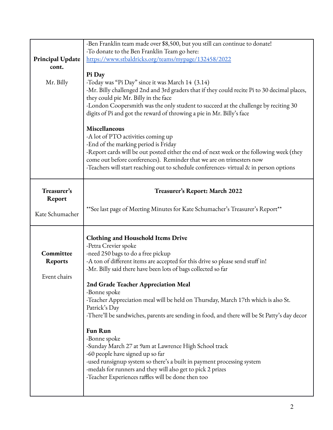|                         | -Ben Franklin team made over \$8,500, but you still can continue to donate!                  |  |  |  |  |  |  |
|-------------------------|----------------------------------------------------------------------------------------------|--|--|--|--|--|--|
|                         | -To donate to the Ben Franklin Team go here:                                                 |  |  |  |  |  |  |
| <b>Principal Update</b> | https://www.stbaldricks.org/teams/mypage/132458/2022                                         |  |  |  |  |  |  |
| cont.                   |                                                                                              |  |  |  |  |  |  |
|                         | Pi Day                                                                                       |  |  |  |  |  |  |
| Mr. Billy               | -Today was "Pi Day" since it was March 14 (3.14)                                             |  |  |  |  |  |  |
|                         | -Mr. Billy challenged 2nd and 3rd graders that if they could recite Pi to 30 decimal places, |  |  |  |  |  |  |
|                         | they could pie Mr. Billy in the face                                                         |  |  |  |  |  |  |
|                         | -London Coopersmith was the only student to succeed at the challenge by reciting 30          |  |  |  |  |  |  |
|                         | digits of Pi and got the reward of throwing a pie in Mr. Billy's face                        |  |  |  |  |  |  |
|                         | Miscellaneous                                                                                |  |  |  |  |  |  |
|                         | -A lot of PTO activities coming up                                                           |  |  |  |  |  |  |
|                         | -End of the marking period is Friday                                                         |  |  |  |  |  |  |
|                         | -Report cards will be out posted either the end of next week or the following week (they     |  |  |  |  |  |  |
|                         | come out before conferences). Reminder that we are on trimesters now                         |  |  |  |  |  |  |
|                         | -Teachers will start reaching out to schedule conferences-virtual & in person options        |  |  |  |  |  |  |
|                         |                                                                                              |  |  |  |  |  |  |
| Treasurer's             | Treasurer's Report: March 2022                                                               |  |  |  |  |  |  |
| Report                  |                                                                                              |  |  |  |  |  |  |
|                         |                                                                                              |  |  |  |  |  |  |
| Kate Schumacher         | **See last page of Meeting Minutes for Kate Schumacher's Treasurer's Report**                |  |  |  |  |  |  |
|                         |                                                                                              |  |  |  |  |  |  |
|                         |                                                                                              |  |  |  |  |  |  |
|                         |                                                                                              |  |  |  |  |  |  |
|                         | <b>Clothing and Household Items Drive</b>                                                    |  |  |  |  |  |  |
| Committee               | -Petra Crevier spoke                                                                         |  |  |  |  |  |  |
|                         | -need 250 bags to do a free pickup                                                           |  |  |  |  |  |  |
| <b>Reports</b>          | -A ton of different items are accepted for this drive so please send stuff in!               |  |  |  |  |  |  |
| Event chairs            | -Mr. Billy said there have been lots of bags collected so far                                |  |  |  |  |  |  |
|                         | 2nd Grade Teacher Appreciation Meal                                                          |  |  |  |  |  |  |
|                         | -Bonne spoke                                                                                 |  |  |  |  |  |  |
|                         | -Teacher Appreciation meal will be held on Thursday, March 17th which is also St.            |  |  |  |  |  |  |
|                         | Patrick's Day                                                                                |  |  |  |  |  |  |
|                         | -There'll be sandwiches, parents are sending in food, and there will be St Patty's day decor |  |  |  |  |  |  |
|                         | <b>Fun Run</b>                                                                               |  |  |  |  |  |  |
|                         | -Bonne spoke                                                                                 |  |  |  |  |  |  |
|                         | -Sunday March 27 at 9am at Lawrence High School track                                        |  |  |  |  |  |  |
|                         | -60 people have signed up so far                                                             |  |  |  |  |  |  |
|                         | -used runsignup system so there's a built in payment processing system                       |  |  |  |  |  |  |
|                         | -medals for runners and they will also get to pick 2 prizes                                  |  |  |  |  |  |  |
|                         | -Teacher Experiences raffles will be done then too                                           |  |  |  |  |  |  |
|                         |                                                                                              |  |  |  |  |  |  |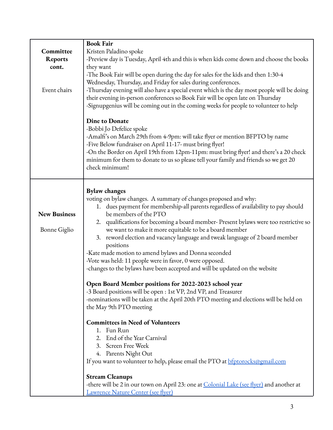| Committee<br><b>Reports</b><br>cont.<br>Event chairs | <b>Book Fair</b><br>Kristen Paladino spoke<br>-Preview day is Tuesday, April 4th and this is when kids come down and choose the books<br>they want<br>-The Book Fair will be open during the day for sales for the kids and then 1:30-4<br>Wednesday, Thursday, and Friday for sales during conferences.<br>-Thursday evening will also have a special event which is the day most people will be doing<br>their evening in-person conferences so Book Fair will be open late on Thursday<br>-Signupgenius will be coming out in the coming weeks for people to volunteer to help<br>Dine to Donate<br>-Bobbi Jo Defelice spoke<br>-Amalfi's on March 29th from 4-9pm: will take flyer or mention BFPTO by name<br>-Five Below fundraiser on April 11-17- must bring flyer!<br>-On the Border on April 19th from 12pm-11pm: must bring flyer! and there's a 20 check<br>minimum for them to donate to us so please tell your family and friends so we get 20<br>check minimum!                                                                                                                                                                                                                                                                                                                                      |
|------------------------------------------------------|---------------------------------------------------------------------------------------------------------------------------------------------------------------------------------------------------------------------------------------------------------------------------------------------------------------------------------------------------------------------------------------------------------------------------------------------------------------------------------------------------------------------------------------------------------------------------------------------------------------------------------------------------------------------------------------------------------------------------------------------------------------------------------------------------------------------------------------------------------------------------------------------------------------------------------------------------------------------------------------------------------------------------------------------------------------------------------------------------------------------------------------------------------------------------------------------------------------------------------------------------------------------------------------------------------------------|
| <b>New Business</b><br><b>Bonne Giglio</b>           | <b>Bylaw changes</b><br>voting on bylaw changes. A summary of changes proposed and why:<br>1. dues payment for membership-all parents regardless of availability to pay should<br>be members of the PTO<br>2. qualifications for becoming a board member- Present bylaws were too restrictive so<br>we want to make it more equitable to be a board member<br>reword election and vacancy language and tweak language of 2 board member<br>3.<br>positions<br>-Kate made motion to amend bylaws and Donna seconded<br>-Vote was held: 11 people were in favor, 0 were opposed.<br>-changes to the bylaws have been accepted and will be updated on the website<br>Open Board Member positions for 2022-2023 school year<br>-3 Board positions will be open : 1st VP, 2nd VP, and Treasurer<br>-nominations will be taken at the April 20th PTO meeting and elections will be held on<br>the May 9th PTO meeting<br><b>Committees in Need of Volunteers</b><br>1. Fun Run<br>2. End of the Year Carnival<br>3. Screen Free Week<br>4. Parents Night Out<br>If you want to volunteer to help, please email the PTO at <b>bfptorocks@gmail.com</b><br><b>Stream Cleanups</b><br>-there will be 2 in our town on April 23: one at Colonial Lake (see flyer) and another at<br><u>Lawrence Nature Center (see flyer)</u> |